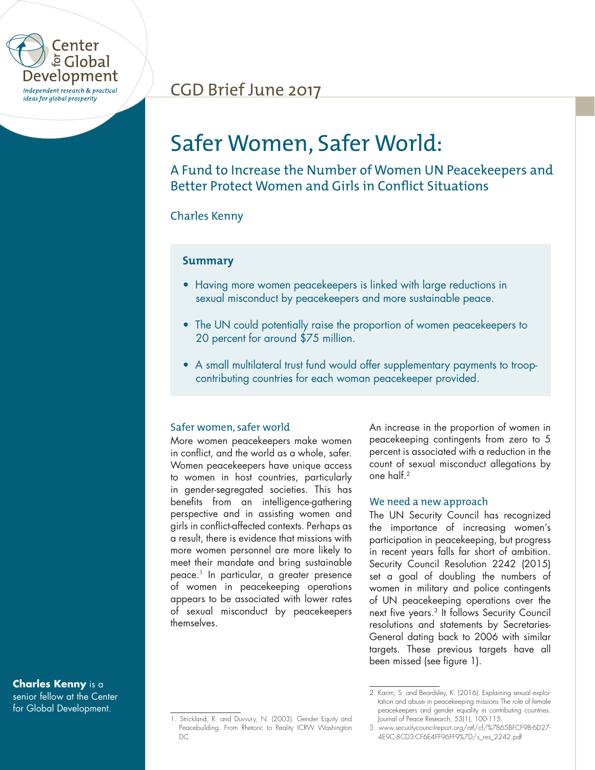

# CGD Brief June 2017

# Safer Women, Safer World:

A Fund to Increase the Number of Women UN Peacekeepers and Better Protect Women and Girls in Conflict Situations

# Charles Kenny

# **Summary**

- Having more women peacekeepers is linked with large reductions in sexual misconduct by peacekeepers and more sustainable peace.
- The UN could potentially raise the proportion of women peacekeepers to 20 percent for around \$75 million.
- A small multilateral trust fund would offer supplementary payments to troopcontributing countries for each woman peacekeeper provided.

## Safer women, safer world

More women peacekeepers make women in conflict, and the world as a whole, safer. Women peacekeepers have unique access to women in host countries, particularly in gender-segregated societies. This has benefits from an intelligence-gathering perspective and in assisting women and girls in conflict-affected contexts. Perhaps as a result, there is evidence that missions with more women personnel are more likely to meet their mandate and bring sustainable peace.1 In particular, a greater presence of women in peacekeeping operations appears to be associated with lower rates of sexual misconduct by peacekeepers themselves.

An increase in the proportion of women in peacekeeping contingents from zero to 5 percent is associated with a reduction in the count of sexual misconduct allegations by one half.2

#### We need a new approach

The UN Security Council has recognized the importance of increasing women's participation in peacekeeping, but progress in recent years falls far short of ambition. Security Council Resolution 2242 (2015) set a goal of doubling the numbers of women in military and police contingents of UN peacekeeping operations over the next five years.3 It follows Security Council resolutions and statements by Secretaries-General dating back to 2006 with similar targets. These previous targets have all been missed (see figure 1).

**Charles Kenny** is a senior fellow at the Center for Global Development.

<sup>1.</sup> Strickland, R. and Duvvury, N. (2003). Gender Equity and Peacebuilding. From Rhetoric to Reality ICRW Washington DC.

<sup>2.</sup> Karim, S. and Beardsley, K. (2016). Explaining sexual exploitation and abuse in peacekeeping missions The role of female peacekeepers and gender equality in contributing countries. Journal of Peace Research, 53(1), 100-115.

<sup>3.</sup> www.securitycouncilreport.org/atf/cf/%7B65BFCF9B-6D27- 4E9C-8CD3-CF6E4FF96FF9%7D/s\_res\_2242.pdf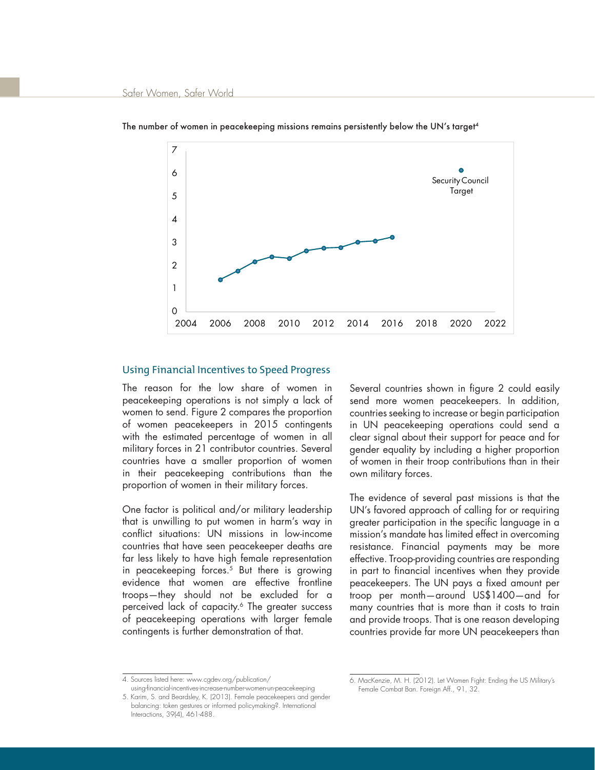

The number of women in peacekeeping missions remains persistently below the UN's target<sup>4</sup>

#### Using Financial Incentives to Speed Progress

The reason for the low share of women in peacekeeping operations is not simply a lack of women to send. Figure 2 compares the proportion of women peacekeepers in 2015 contingents with the estimated percentage of women in all military forces in 21 contributor countries. Several countries have a smaller proportion of women in their peacekeeping contributions than the proportion of women in their military forces.

One factor is political and/or military leadership that is unwilling to put women in harm's way in conflict situations: UN missions in low-income countries that have seen peacekeeper deaths are far less likely to have high female representation in peacekeeping forces.<sup>5</sup> But there is growing evidence that women are effective frontline troops—they should not be excluded for a perceived lack of capacity.<sup>6</sup> The greater success of peacekeeping operations with larger female contingents is further demonstration of that.

Several countries shown in figure 2 could easily send more women peacekeepers. In addition, countries seeking to increase or begin participation in UN peacekeeping operations could send a clear signal about their support for peace and for gender equality by including a higher proportion of women in their troop contributions than in their own military forces.

The evidence of several past missions is that the UN's favored approach of calling for or requiring greater participation in the specific language in a mission's mandate has limited effect in overcoming resistance. Financial payments may be more effective. Troop-providing countries are responding in part to financial incentives when they provide peacekeepers. The UN pays a fixed amount per troop per month—around US\$1400—and for many countries that is more than it costs to train and provide troops. That is one reason developing countries provide far more UN peacekeepers than

<sup>4.</sup> Sources listed here: www.cgdev.org/publication/

using-financial-incentives-increase-number-women-un-peacekeeping 5. Karim, S. and Beardsley, K. (2013). Female peacekeepers and gender balancing: token gestures or informed policymaking?. International Interactions, 39(4), 461-488.

<sup>6.</sup> MacKenzie, M. H. (2012). Let Women Fight: Ending the US Military's Female Combat Ban. Foreign Aff., 91, 32.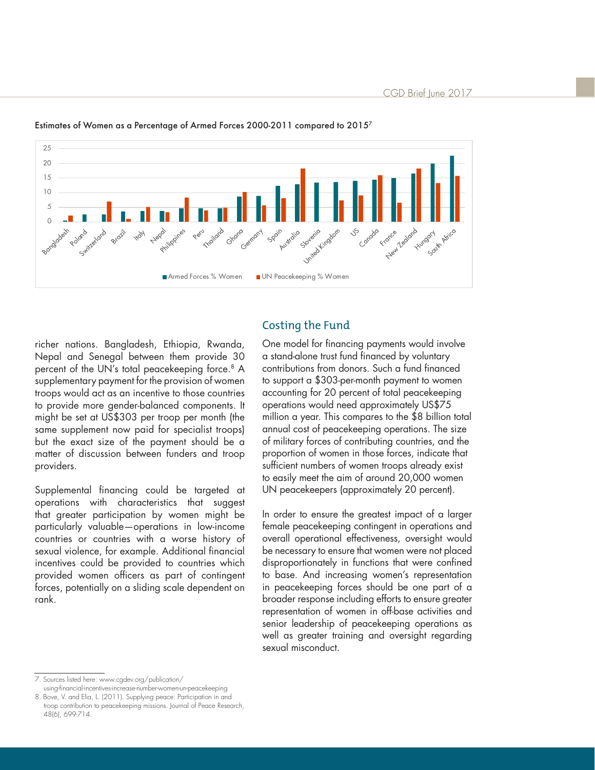

Estimates of Women as a Percentage of Armed Forces 2000-2011 compared to 20157

## Costing the Fund

richer nations. Bangladesh, Ethiopia, Rwanda, Nepal and Senegal between them provide 30 percent of the UN's total peacekeeping force.<sup>8</sup> A supplementary payment for the provision of women troops would act as an incentive to those countries to provide more gender-balanced components. It might be set at US\$303 per troop per month (the same supplement now paid for specialist troops) but the exact size of the payment should be a matter of discussion between funders and troop providers.

Supplemental financing could be targeted at operations with characteristics that suggest that greater participation by women might be particularly valuable—operations in low-income countries or countries with a worse history of sexual violence, for example. Additional financial incentives could be provided to countries which provided women officers as part of contingent forces, potentially on a sliding scale dependent on rank.

One model for financing payments would involve a stand-alone trust fund financed by voluntary contributions from donors. Such a fund financed to support a \$303-per-month payment to women accounting for 20 percent of total peacekeeping operations would need approximately US\$75 million a year. This compares to the \$8 billion total annual cost of peacekeeping operations. The size of military forces of contributing countries, and the proportion of women in those forces, indicate that sufficient numbers of women troops already exist to easily meet the aim of around 20,000 women UN peacekeepers (approximately 20 percent).

In order to ensure the greatest impact of a larger female peacekeeping contingent in operations and overall operational effectiveness, oversight would be necessary to ensure that women were not placed disproportionately in functions that were confined to base. And increasing women's representation in peacekeeping forces should be one part of a broader response including efforts to ensure greater representation of women in off-base activities and senior leadership of peacekeeping operations as well as greater training and oversight regarding sexual misconduct.

7. Sources listed here: www.cgdev.org/publication/

using-financial-incentives-increase-number-women-un-peacekeeping 8. Bove, V. and Elia, L. (2011). Supplying peace: Participation in and troop contribution to peacekeeping missions. Journal of Peace Research, 48(6), 699-714.